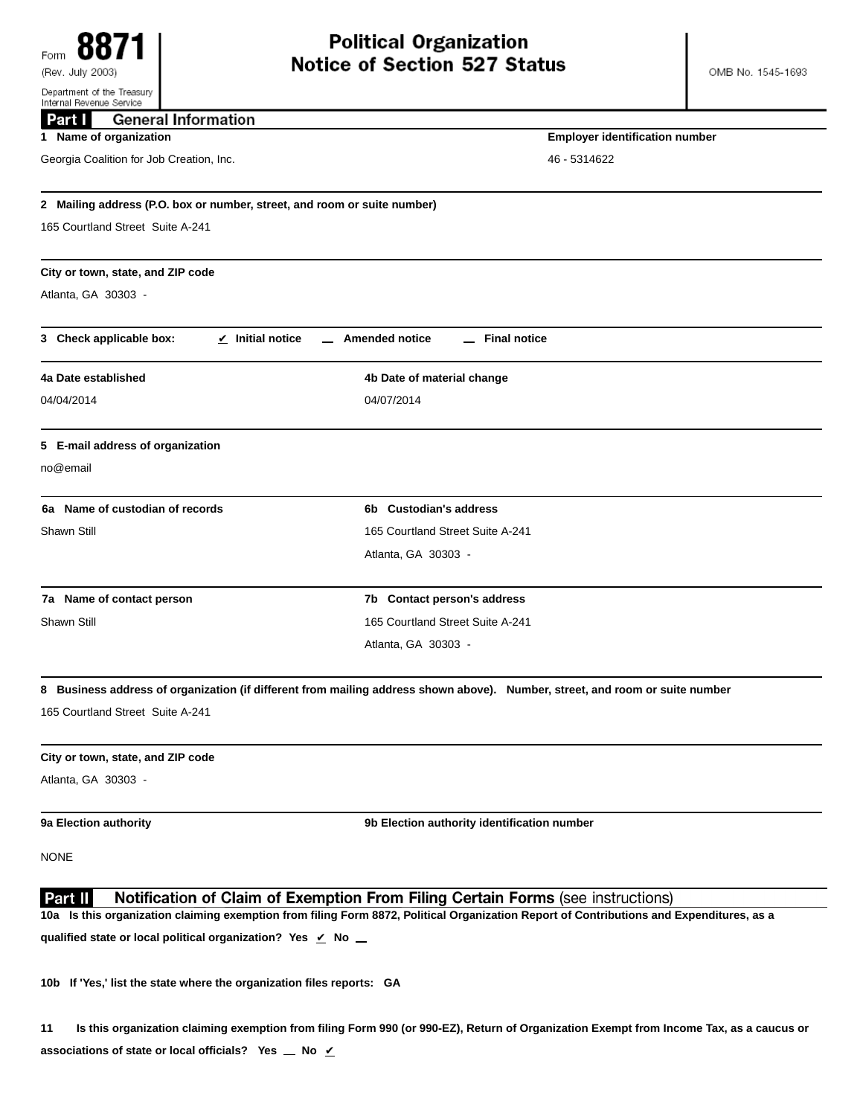| Internal Revenue Service                                                 |                                                                                                                                          |  |
|--------------------------------------------------------------------------|------------------------------------------------------------------------------------------------------------------------------------------|--|
| <b>General Information</b><br>Part                                       |                                                                                                                                          |  |
| 1 Name of organization                                                   | <b>Employer identification number</b>                                                                                                    |  |
| Georgia Coalition for Job Creation, Inc.                                 | 46 - 5314622                                                                                                                             |  |
| 2 Mailing address (P.O. box or number, street, and room or suite number) |                                                                                                                                          |  |
| 165 Courtland Street Suite A-241                                         |                                                                                                                                          |  |
|                                                                          |                                                                                                                                          |  |
| City or town, state, and ZIP code                                        |                                                                                                                                          |  |
| Atlanta, GA 30303 -                                                      |                                                                                                                                          |  |
|                                                                          |                                                                                                                                          |  |
| 3 Check applicable box:<br>$\angle$ Initial notice                       | <b>Amended notice</b><br><b>Final notice</b>                                                                                             |  |
| 4a Date established                                                      | 4b Date of material change                                                                                                               |  |
| 04/04/2014                                                               | 04/07/2014                                                                                                                               |  |
| 5 E-mail address of organization                                         |                                                                                                                                          |  |
| no@email                                                                 |                                                                                                                                          |  |
|                                                                          |                                                                                                                                          |  |
| 6a Name of custodian of records                                          | 6b Custodian's address                                                                                                                   |  |
| Shawn Still                                                              | 165 Courtland Street Suite A-241                                                                                                         |  |
|                                                                          | Atlanta, GA 30303 -                                                                                                                      |  |
| 7a Name of contact person                                                | 7b Contact person's address                                                                                                              |  |
| Shawn Still                                                              | 165 Courtland Street Suite A-241                                                                                                         |  |
|                                                                          | Atlanta, GA 30303 -                                                                                                                      |  |
|                                                                          | 8 Business address of organization (if different from mailing address shown above). Number, street, and room or suite number             |  |
| 165 Courtland Street Suite A-241                                         |                                                                                                                                          |  |
| City or town, state, and ZIP code                                        |                                                                                                                                          |  |
| Atlanta, GA 30303 -                                                      |                                                                                                                                          |  |
|                                                                          |                                                                                                                                          |  |
| 9a Election authority                                                    | 9b Election authority identification number                                                                                              |  |
| <b>NONE</b>                                                              |                                                                                                                                          |  |
| Part II                                                                  | Notification of Claim of Exemption From Filing Certain Forms (see instructions)                                                          |  |
|                                                                          | 10a Is this organization claiming exemption from filing Form 8872, Political Organization Report of Contributions and Expenditures, as a |  |
| qualified state or local political organization? Yes ∠ No _              |                                                                                                                                          |  |
|                                                                          |                                                                                                                                          |  |

**10b If 'Yes,' list the state where the organization files reports: GA**

**11 Is this organization claiming exemption from filing Form 990 (or 990-EZ), Return of Organization Exempt from Income Tax, as a caucus or associations of state or local officials?** Yes  $\angle$  No  $\angle$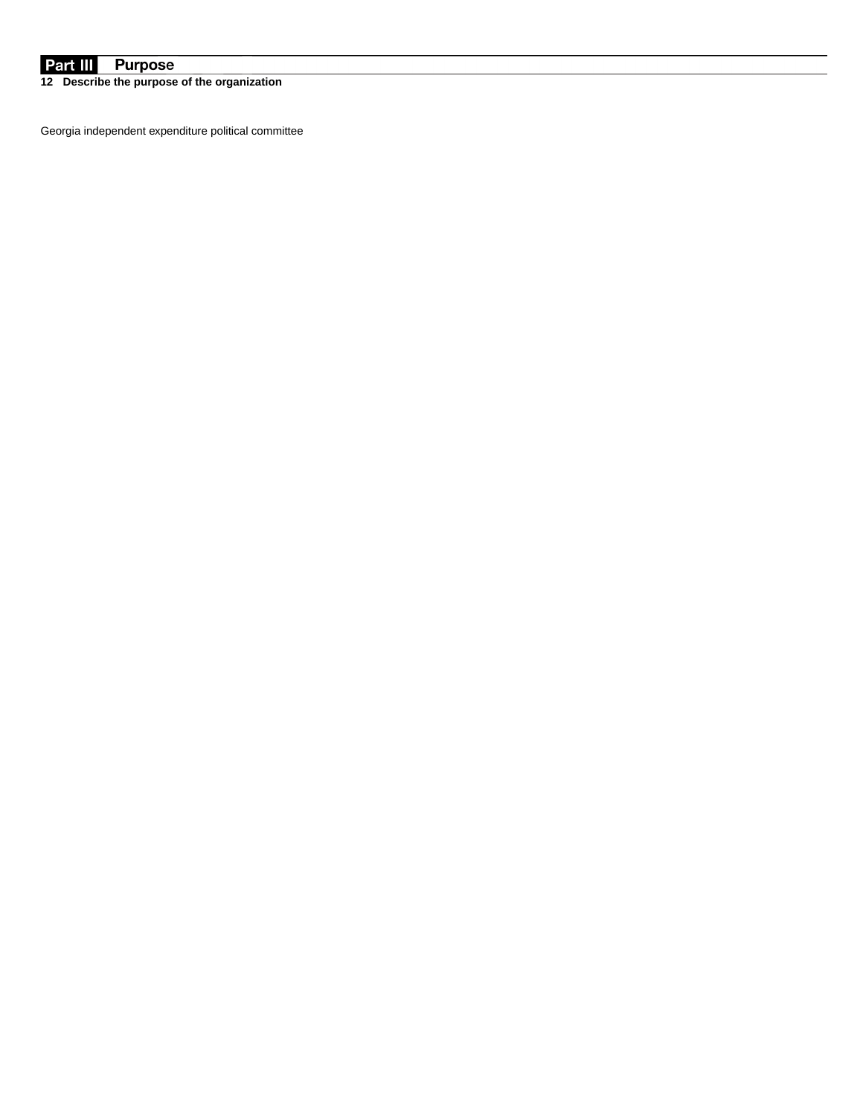## **Purpose** Part III

**12 Describe the purpose of the organization**

Georgia independent expenditure political committee